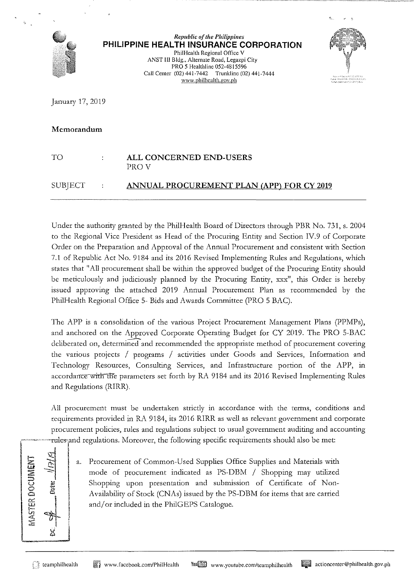

*Republic of the Philippines*  **PHILIPPINE HEALTH INSURANCE CORPORATION** 

**Phi!Health Regional Office V ANST Ill Bldg., Alternate Road, Legazpi City**  PRO *5* Healthline 052-4815596 **Call Center (02) 441-7442 Trunklinc (02) 441-7444 www.philhcalth.gov.ph** 



January 17, 2019

#### **Memorandum**

| TО        | ALL CONCERNED END-USERS<br>PROV                  |
|-----------|--------------------------------------------------|
| SUBJECT : | <b>ANNUAL PROCUREMENT PLAN (APP) FOR CY 2019</b> |

Under the authority granted by the PhilHealth Board of Directors through PBR No. 731, s. 2004 to the Regional Vice President as Head of the Procuring Entity and Section IV.9 of Corporate Order on the Preparation and Approval of the Annual Procurement and consistent with Section 7.1 of Republic Act No. 9184 and its 2016 Revised Implementing Rules and Regulations, which states that "All procurement shall be within the approved budget of the Procuring Entity should be meticulously and judiciously planned by the Procuring Entity, xxx", this Order is hereby issued approving the attached 2019 Annual Procurement Plan as recommended by the PhilHealth Regional Office 5- Bids and Awards Committee (PRO 5 BAC).

The APP is a consolidation of the various Project Procurement Management Plans (PPMPs), and anchored on the Approved Corporate Operating Budget for CY 2019. The PRO 5-BAC deliberated on, determined and recommended the appropriate method of procurement covering the various projects / programs / activities under Goods and Services, Information and Technology Resources, Consulting Services, and Infrastructure portion of the APP, in accordance with the parameters set forth by RA 9184 and its 2016 Revised Implementing Rules and Regulations (RIRR).

All procurement must be undertaken strictly in accordance with the terms, conditions and requirements provided in RA 9184, its 2016 RIRR as well as relevant government and corporate procurement policies, rules and regulations subject to usual government auditing and accounting and regulations. Moreover, the following specific requirements should also be met:

|                                                  | -----------rules |
|--------------------------------------------------|------------------|
| ivan'i<br>1<br>Ż<br>ų<br>ż<br>$\frac{1}{2}$<br>S | Date:            |
|                                                  |                  |

a. Procurement of Common-Used Supplies Office Supplies and Materials with mode of procurement indicated as PS-DBM / Shopping may utilized Shopping upon presentation and submission of Certificate of Non-Availability of Stock (CNAs) issued by the PS-DBM for items that are carried and/or included in the PhilGEPS Catalogue.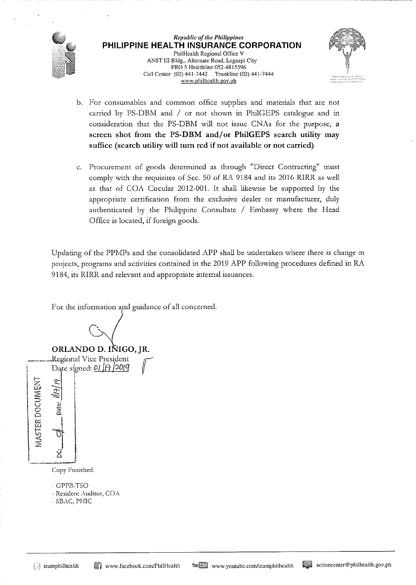

*Republic of the Philippines*  PHILIPPINE HEALTH INSURANCE CORPORATION Phi!Health Regional Office V ANST III Bldg., Alternate Road, Legazpi City PRO 5 Healthline 052-4815596 Call Center (02) 441-7442 Trunkline (02) 441-7444 www.philhealth.gov.ph



- b. For consumables and common office supplies and materials that are not carried by PS-DBM and / or not shown in PhilGEPS catalogue and in consideration that the PS-DBM will not issue CNAs for the purpose,  $a$ screen shot from the PS-DBM and/or PhilGEPS search utility may suffice (search utility will turn red if not available or not carried)
- c. Procurement of goods determined as through "Direct Contracting" must comply with the requisites of Sec. 50 of RA 9184 and its 2016 RIRR as well as that of COA Circular 2012-001. It shall likewise be supported by the appropriate certification from the exclusive dealer or manufacturer, duly authenticated by the Philippine Consultate / Embassy where the Head Office is located, if foreign goods.

Updating of the PPMPs and the consolidated APP shall be undertaken where there is change in projects, programs and activities contained in the 2019 APP following procedures defined in RA 9184, its RIRR and relevant and appropriate internal issuances.

For the information and guidance of all concerned.

*G·)* 

ORLANDO D. IÑIGO, JR. -ORLANDO D. INIGO, JR.<br>Regional Vice President regional VICE President

Date signed: 01 <del>[7]</del> 2019

 $\mathbb{E}$   $\frac{1}{\gamma}$   $\mid$ 2: -=:::: :::;, - <sup>u</sup>*\$*  <sup>0</sup>*8* <sup>0</sup>  $\begin{bmatrix} 1 \\ 2 \end{bmatrix}$ 

Copy Funished:

- GPPB-TSO

- -Resident Auditor, COA
- SBAC, PHIC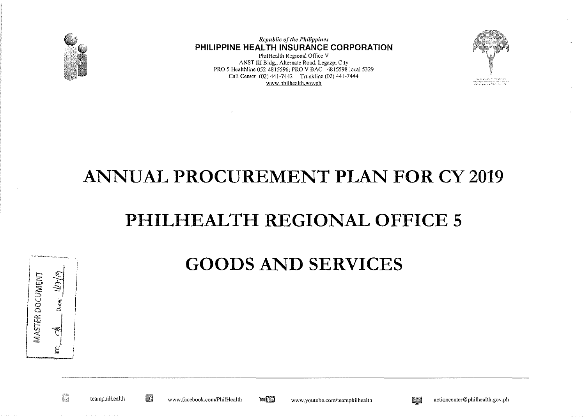

**Republic of the Philippines** PHILIPPINE HEALTH INSURANCE CORPORATION

PhilHealth Regional Office V ANST III Bldg., Alternate Road, Legazpi City PRO 5 Healthline 052-4815596, PRO V BAC - 4815598 local 5329 Call Center (02) 441-7442 Trunkline (02) 441-7444 www.philhealth.gov.ph



#### **ANNUAL PROCUREMENT PLAN FOR CY 2019**

## PHILHEALTH REGIONAL OFFICE 5

| MASTER DOCUMENT | $MH\omega$<br>Date: |
|-----------------|---------------------|
|                 |                     |

#### **GOODS AND SERVICES**

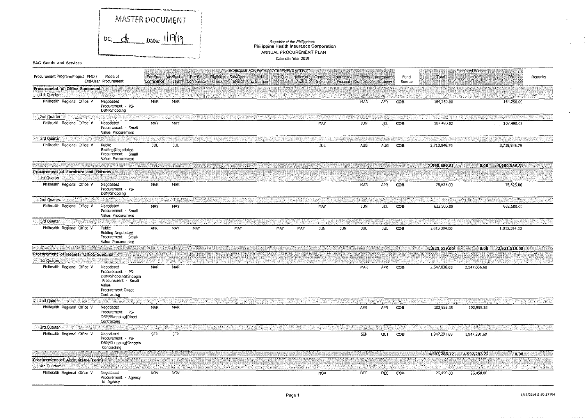|                                                      | MASTER DOCUMENT                                                                                                               |            |                                     |                            |                         |                                                                     |                                                                                                   |       |                             |           |                                                   |         |                |              |                                 |              |         |
|------------------------------------------------------|-------------------------------------------------------------------------------------------------------------------------------|------------|-------------------------------------|----------------------------|-------------------------|---------------------------------------------------------------------|---------------------------------------------------------------------------------------------------|-------|-----------------------------|-----------|---------------------------------------------------|---------|----------------|--------------|---------------------------------|--------------|---------|
|                                                      | $bc$ $d_h$ $a_{ate}$ $11719$                                                                                                  |            |                                     |                            |                         |                                                                     | Republic of the Philippines<br>Philippine Health Insurance Corporation<br>ANNUAL PROCUREMENT PLAN |       |                             |           |                                                   |         |                |              |                                 |              |         |
| <b>BAC Goods and Services</b>                        |                                                                                                                               |            |                                     |                            |                         |                                                                     | Calendar Year 2019                                                                                |       |                             |           |                                                   |         |                |              |                                 |              |         |
| Procurement Program/Project PMO /                    | Mode of<br>End-User Procurement                                                                                               | Conference | Pre-Proc Ads/Post of Pre-Bid<br>ITB | Conference<br><b>Check</b> | Eligibility<br>Sub/Open | SCHEDULE FOR EACH PROCUREMENT ACTIVITY<br>Bidi<br>of Bds Evaluation | Post Qual Notice of                                                                               | Award | <b>Contract</b><br>Signing: | Notice to | Delivery Acceptance<br>Proceed Completion Tumover |         | Fund<br>Source | Total        | <b>Estimated Budget</b><br>MOOE | co           | Remarks |
| Procurement of Office Equipment<br>1st Quarter       |                                                                                                                               |            |                                     |                            |                         |                                                                     |                                                                                                   |       |                             |           |                                                   |         |                |              |                                 |              |         |
| Philhealth Regional Office V                         | Negotiated<br>Procurement PS-<br>DBM/Shopping                                                                                 | <b>MAR</b> | MAR                                 |                            |                         |                                                                     |                                                                                                   |       |                             |           | MAR                                               | APR.    | COB            | 164,250.00   |                                 | 164,250.00   |         |
| 2nd Quarter                                          |                                                                                                                               |            |                                     |                            |                         |                                                                     |                                                                                                   |       |                             |           |                                                   |         |                |              |                                 |              |         |
| Philhealth Regional Office V                         | Negotiated<br>Procurement - Small<br>Value Procurement                                                                        | MAY        | MAY                                 |                            |                         |                                                                     |                                                                                                   |       | MAY                         |           | <b>JUN</b>                                        | JUL     | COB            | 107,490.02   |                                 | 107,490.02   |         |
| 3rd Quarter                                          |                                                                                                                               |            |                                     |                            |                         |                                                                     |                                                                                                   |       |                             |           |                                                   |         |                |              |                                 |              |         |
| Philhealth Regional Office V                         | Public<br>Bidding   Negotiated<br>Procurement - Small<br>Value Procurement                                                    | JUL.       | JUL.                                |                            |                         |                                                                     |                                                                                                   |       | jul                         |           | AUG.                                              | AUG     | COB            | 3,718,846.79 |                                 | 3,718,846.79 |         |
|                                                      |                                                                                                                               |            |                                     |                            |                         |                                                                     |                                                                                                   |       |                             |           |                                                   |         |                | 3,990,586.81 | 0.00                            | 3,990,586.81 |         |
| Procurement of Furniture and Fixtures<br>1st Quarter |                                                                                                                               |            |                                     |                            |                         |                                                                     |                                                                                                   |       |                             |           |                                                   |         |                |              |                                 |              |         |
| Philhealth Regional Office V                         | Negotiated<br>Procurement - PS-<br>DBM/Shopping                                                                               | MAR        | MAR                                 |                            |                         |                                                                     |                                                                                                   |       |                             |           | MAR                                               | APR     | COB            | 75,625.00    |                                 | 75,625.00    |         |
| 2nd Quarter                                          |                                                                                                                               |            |                                     |                            |                         |                                                                     |                                                                                                   |       |                             |           |                                                   |         |                |              |                                 |              |         |
| Philhealth Regional Office V                         | Negotiated<br>Procurement Small<br>Value Procurement                                                                          | MAY        | MAY                                 |                            |                         |                                                                     |                                                                                                   |       | MAY                         |           | <b>JUN</b>                                        | JUL.    | COB            | 632,500.00   |                                 | 632,500.00   |         |
| 3rd Quarter                                          |                                                                                                                               |            |                                     |                            |                         |                                                                     |                                                                                                   |       |                             |           |                                                   |         |                |              |                                 |              |         |
| Philhealth Regional Office V                         | Public<br>Bidding   Negotiated<br>Procurement - Small<br>Value Procurement                                                    | <b>APR</b> | MAY                                 | MAY                        | MAY                     |                                                                     | MAY                                                                                               | MAY   | <b>JUN</b>                  | JUN.      | JUL.                                              | JUL.    | COB            | 1,813,394.00 |                                 | 1,813,394.00 |         |
|                                                      |                                                                                                                               |            |                                     |                            |                         |                                                                     |                                                                                                   |       |                             |           |                                                   |         |                | 2,521,519,00 | 0.00                            | 2,521,519.00 |         |
| Procurement of Regular Office Supplies               |                                                                                                                               |            |                                     |                            |                         |                                                                     |                                                                                                   |       |                             |           |                                                   |         |                |              |                                 |              |         |
| 1st Quarter<br>Philhealth Regional Office V          | Negotiated<br>Procurement - PS-<br>DBM/Shopping [Shoppin<br>Procurement · Small<br>Value<br>Procurement Direct<br>Contracting | MAR        | MAR                                 |                            |                         |                                                                     |                                                                                                   |       |                             |           | MAR                                               | APR     | СОВ            | 2,547,036.68 | 2,547,036.68                    |              |         |
| 2nd Quarter                                          |                                                                                                                               |            |                                     |                            |                         |                                                                     |                                                                                                   |       |                             |           |                                                   |         |                |              |                                 |              |         |
| Philhealth Regional Office V                         | Negotiated<br>Procurement - PS-<br>DBM/Shopping   Direct<br>Contracting                                                       | MAR        | MAR                                 |                            |                         |                                                                     |                                                                                                   |       |                             |           | APR                                               | APR     | COB            | 102.955.35   | 102,955.35                      |              |         |
| <b>3rd Quarter</b>                                   |                                                                                                                               |            |                                     |                            |                         |                                                                     |                                                                                                   |       |                             |           |                                                   |         |                |              |                                 |              |         |
| Philhealth Regional Office V                         | Negotiated<br>Procurement - PS-<br>DBM/Shopping Shoppin<br>Contracting                                                        | <b>SEP</b> | SEP                                 |                            |                         |                                                                     |                                                                                                   |       |                             |           | SEP                                               | $\circ$ | COB            | 1,947 291.69 | 1,947,291.69                    |              |         |
|                                                      |                                                                                                                               |            |                                     |                            |                         |                                                                     |                                                                                                   |       |                             |           |                                                   |         |                | 4,597,283,72 | 4,597,283.72                    | 0.00         |         |
| Procurement of Accountable Forms<br>Ath Quarter      |                                                                                                                               |            |                                     |                            |                         |                                                                     |                                                                                                   |       |                             |           |                                                   |         |                |              |                                 |              |         |
| Philhealth Regional Office V                         | Negotiated<br>Procurement - Agency<br>to Agency                                                                               | <b>NOV</b> | NOV                                 |                            |                         |                                                                     |                                                                                                   |       | <b>NOV</b>                  |           | DEC                                               | DEC     | cos            | 26,450.00    | 26,450.00                       |              |         |

 $\mathbf{A}$ 

 $\epsilon$ 

 $\sim$ 

 $\cdot$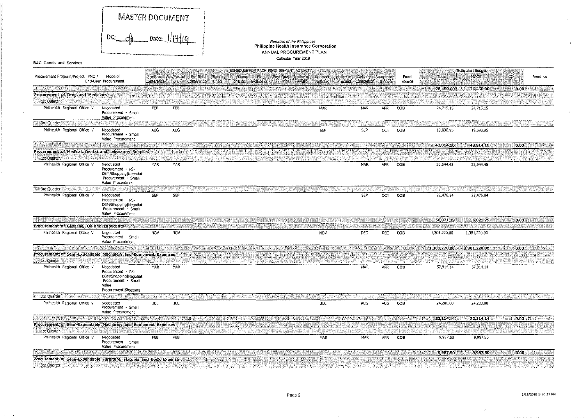|                                                                                    | MASTER DOCUMENT<br>A pate: $   $ {{ d<br>DC:                                                                     |            |                                      |                                                               |                                                                    | Republic of the Philippines                                        |                                    |                                                    |            |                 |              |                                 |        |         |
|------------------------------------------------------------------------------------|------------------------------------------------------------------------------------------------------------------|------------|--------------------------------------|---------------------------------------------------------------|--------------------------------------------------------------------|--------------------------------------------------------------------|------------------------------------|----------------------------------------------------|------------|-----------------|--------------|---------------------------------|--------|---------|
|                                                                                    |                                                                                                                  |            |                                      |                                                               |                                                                    | Philippine Health Insurance Corporation<br>ANNUAL PROCUREMENT PLAN |                                    |                                                    |            |                 |              |                                 |        |         |
|                                                                                    |                                                                                                                  |            |                                      |                                                               |                                                                    | Calendar Year 2019                                                 |                                    |                                                    |            |                 |              |                                 |        |         |
| <b>BAC Goods and Services</b>                                                      |                                                                                                                  |            |                                      |                                                               |                                                                    |                                                                    |                                    |                                                    |            |                 |              |                                 |        |         |
| Procurement Program/Project PMO /                                                  | Mode of<br>End-User Procurement                                                                                  | Conference | Pre-Proc Ads/Post of Pre-Bid<br>ITB. | <b>Eligibility</b><br>Sub/Open<br>Conference Check<br>of Bids | SCHEDULE FOR EACH PROCUREMENT ACTIVITY<br><b>Bid</b><br>Evaluation | Post Qual Notice of<br>Award                                       | Contract -<br>Notice to<br>Signing | Delivery Acceptance<br>Proceed Completion Turnover |            | Fund<br>Source  | Total        | <b>Estimated Budget</b><br>MODE | CO.    | Remarks |
|                                                                                    |                                                                                                                  |            |                                      |                                                               |                                                                    |                                                                    |                                    |                                                    |            |                 | 26,450.00    | 26,450.00                       | 0.00   |         |
| Procurement of Drug and Medicines                                                  |                                                                                                                  |            |                                      |                                                               |                                                                    |                                                                    |                                    |                                                    |            |                 |              |                                 |        |         |
| 1st Quarter                                                                        |                                                                                                                  |            |                                      |                                                               |                                                                    |                                                                    |                                    |                                                    |            |                 |              |                                 |        |         |
| Philhealth Regional Office V                                                       | Negotiated<br>Procurement - Small<br>Value Procurement                                                           | FEB        | FEB                                  |                                                               |                                                                    |                                                                    | MAR                                | MAR                                                | <b>APR</b> | COB             | 24,715.15    | 24,715.15                       |        |         |
| <b>3rd Quarter</b>                                                                 |                                                                                                                  |            |                                      |                                                               |                                                                    |                                                                    |                                    |                                                    |            |                 |              |                                 |        |         |
| Philhealth Regional Office V                                                       | Negotiated<br>Procurement - Small<br>Value Procurement                                                           | AUG        | AUG                                  |                                                               |                                                                    |                                                                    | SEP                                | SEP                                                | CCT        | COB             | 19,098.95    | 19,098.95                       |        |         |
|                                                                                    |                                                                                                                  |            |                                      |                                                               |                                                                    |                                                                    |                                    |                                                    |            |                 | 43,814.10    | 43,814.10                       | 0.00   |         |
| Procurement of Medical, Dental and Laboratory Supplies                             |                                                                                                                  |            |                                      |                                                               |                                                                    |                                                                    |                                    |                                                    |            |                 |              |                                 |        |         |
| 1st Quarter                                                                        |                                                                                                                  |            |                                      |                                                               |                                                                    |                                                                    |                                    |                                                    |            |                 |              |                                 |        |         |
| Philhealth Regional Office V                                                       | Negotiated<br>Procurement - PS-<br>DBM/Shopping Negotiat<br>Procurement - Small<br>Value Procurement             | MAR        | MAR                                  |                                                               |                                                                    |                                                                    |                                    | MAR                                                | <b>APR</b> | cos             | 33, 544, 45  | 33,544.45                       |        |         |
| 3rd Quarter                                                                        |                                                                                                                  |            |                                      |                                                               |                                                                    |                                                                    |                                    |                                                    |            |                 |              |                                 |        |         |
| Philhealth Regional Office V                                                       | Negotiated<br>Procurement - PS-<br>DBM/Shopping Negotiat<br>Procurement - Small<br>Value Procurement             | SEP        | <b>SEP</b>                           |                                                               |                                                                    |                                                                    |                                    | <b>SEP</b>                                         | OCT.       | COB             | 22,476.84    | 22,476.84                       |        |         |
|                                                                                    |                                                                                                                  |            |                                      |                                                               |                                                                    |                                                                    |                                    |                                                    |            |                 | 56,021,29    | 56,021.29                       | 0.00   |         |
| Procurement of Gasoline, Oil and Lubricants                                        |                                                                                                                  |            |                                      |                                                               |                                                                    |                                                                    |                                    |                                                    |            |                 |              |                                 |        |         |
| Philhealth Regional Office V                                                       | Negotiated<br>Procurement - Small<br>Value Procurement                                                           | <b>NOV</b> | NOV                                  |                                                               |                                                                    |                                                                    | <b>NOV</b>                         | <b>DEC</b>                                         | DEC        | COB             | 1,301,220.00 | 1,301,220.00                    |        |         |
|                                                                                    |                                                                                                                  |            |                                      |                                                               |                                                                    |                                                                    |                                    |                                                    |            |                 | 1,301,220.00 | 1,301,220.00                    | 0.00   |         |
| Procurement of Semi-Expendable Machinery and Equipment Expenses<br>1st Quarter     |                                                                                                                  |            |                                      |                                                               |                                                                    |                                                                    |                                    |                                                    |            |                 |              |                                 |        |         |
| Philhealth Regional Office V                                                       | Negotiated<br>Procurement - PS-<br>DBM/Shopping Negotiat<br>Procurement - Small<br>Value<br>Procurement Shopping | MAR        | MAR                                  |                                                               |                                                                    |                                                                    |                                    | MAR                                                | APR        | CO <sub>B</sub> | 57,914,14    | 57,914.14                       |        |         |
| 3rd Quarter                                                                        |                                                                                                                  |            |                                      |                                                               |                                                                    |                                                                    |                                    |                                                    |            |                 |              |                                 |        |         |
| Philhealth Regional Office V                                                       | Negotiated<br>Procurement - Small<br>Value Procurement                                                           | jul.       | JUL.                                 |                                                               |                                                                    |                                                                    | TUL.                               | <b>AUG</b>                                         | AUG.       | COB             | 24,200.00    | 24,200.00                       |        |         |
| Procurement of Semi-Expendable Machinery and Equipment Expenses                    |                                                                                                                  |            |                                      |                                                               |                                                                    |                                                                    |                                    |                                                    |            |                 | 82,114,14    | 82,114.14                       | [0.00] |         |
| 1st Quarter                                                                        |                                                                                                                  |            |                                      |                                                               |                                                                    |                                                                    |                                    |                                                    |            |                 |              |                                 |        |         |
| Philhealth Regional Office V                                                       | Negotiated<br>Procurement - Small<br>Value Procurement                                                           | <b>FEB</b> | FEB                                  |                                                               |                                                                    |                                                                    | MAR                                | MAR                                                | APR        | COB             | 9,987.50     | 9,987.50                        |        |         |
|                                                                                    |                                                                                                                  |            |                                      |                                                               |                                                                    |                                                                    |                                    |                                                    |            |                 | 9.987.50     | 9,987.50                        | 0.00   |         |
| Procurement of Semi-Expendable Furniture, Fixtures and Book Expense<br>3rd Quarter |                                                                                                                  |            |                                      |                                                               |                                                                    |                                                                    |                                    |                                                    |            |                 |              |                                 |        |         |

 $\mathcal{O}(\mathcal{O}(\log n))$ 

 $\omega$ 

 $\mathbf{K}^{\mathrm{c}}$ 

 $\sim$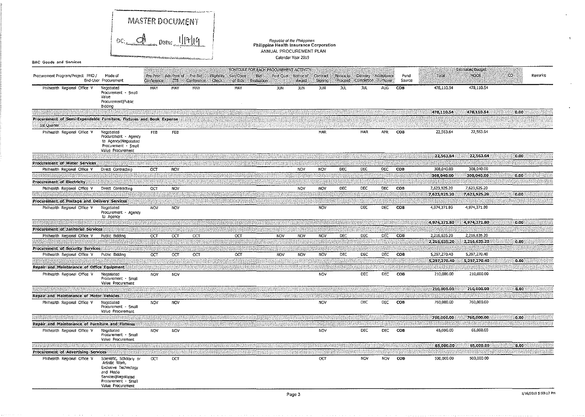|                                                                                    |                                                                                                                                                     |            |                                     | مراجح ومتعقب فالمتناسب |                                            |                                        |                                                                    |                              |                            |                       |                                   |            |                |                              |                              |       |         |
|------------------------------------------------------------------------------------|-----------------------------------------------------------------------------------------------------------------------------------------------------|------------|-------------------------------------|------------------------|--------------------------------------------|----------------------------------------|--------------------------------------------------------------------|------------------------------|----------------------------|-----------------------|-----------------------------------|------------|----------------|------------------------------|------------------------------|-------|---------|
|                                                                                    | MASTER DOCUMENT<br>DC. A Date: 1/17/19                                                                                                              |            |                                     |                        |                                            |                                        |                                                                    |                              |                            |                       |                                   |            |                |                              |                              |       |         |
|                                                                                    |                                                                                                                                                     |            |                                     |                        |                                            |                                        |                                                                    |                              |                            |                       |                                   |            |                |                              |                              |       |         |
|                                                                                    |                                                                                                                                                     |            |                                     |                        |                                            |                                        | Republic of the Philippines                                        |                              |                            |                       |                                   |            |                |                              |                              |       |         |
|                                                                                    |                                                                                                                                                     |            |                                     |                        |                                            |                                        | Philippine Health Insurance Corporation<br>ANNUAL PROCUREMENT PLAN |                              |                            |                       |                                   |            |                |                              |                              |       |         |
| <b>BAC Goods and Services</b>                                                      |                                                                                                                                                     |            |                                     |                        |                                            |                                        |                                                                    | Calendar Year 2019           |                            |                       |                                   |            |                |                              |                              |       |         |
|                                                                                    |                                                                                                                                                     |            |                                     |                        |                                            | SCHEDULE FOR EACH PROCUREMENT ACTIVITY |                                                                    |                              |                            |                       |                                   |            |                |                              | <b>Estimated Budget</b>      |       |         |
| Procurement Program/Project PMO /                                                  | Mode of<br>End-User Procurement                                                                                                                     | Conference | Pre-Proc Ads/Post of Pre-Bid<br>лв. | Conference             | Eligiblity<br>Sub/Open<br>Check<br>of Bids | 'Did<br>Evaluation                     |                                                                    | Post Qual Notice of<br>Award | <b>Contract</b><br>Signing | Notice to<br>Proceed: | Delivery Acceptance<br>Completion | Tumover    | Fund<br>Source | Total                        | MOOE                         | CO.   | Remarks |
| Philhealth Regional Office V                                                       | Negotiated<br>Procurement · Small<br>Value<br>Procurement Public<br>Bidding                                                                         | MAY        | MAY                                 | MAY                    | MAY                                        |                                        | JUN.                                                               | JUN                          | JUN                        | JUL.                  | JUL.                              | AUG.       | COB            | 478 110.54                   | 478,110.54                   |       |         |
|                                                                                    |                                                                                                                                                     |            |                                     |                        |                                            |                                        |                                                                    |                              |                            |                       |                                   |            |                | 478,110.54                   | 478,110.54                   | 0,00  |         |
| Procurement of Semi-Expendable Furniture, Fixtures and Book Expense<br>1st Quarter |                                                                                                                                                     |            |                                     |                        |                                            |                                        |                                                                    |                              |                            |                       |                                   |            |                |                              |                              |       |         |
| Philhealth Regional Office V                                                       | Negotiated<br>Procurement - Agency<br>to Agency Negotiated<br>Procurement - Small<br>Value Procurement                                              | <b>FEB</b> | FEB                                 |                        |                                            |                                        |                                                                    |                              | MAR                        |                       | MAR                               | APR        | <b>COB</b>     | 22,563.64                    | 22,563.64                    |       |         |
|                                                                                    |                                                                                                                                                     |            |                                     |                        |                                            |                                        |                                                                    |                              |                            |                       |                                   |            |                | 22,563.64                    | 22,563.64                    | 0.00  |         |
| <b>Procurement of Water Services</b>                                               |                                                                                                                                                     |            |                                     |                        |                                            |                                        |                                                                    |                              |                            |                       |                                   |            |                |                              |                              |       |         |
| Philhealth Regional Office V                                                       | Direct Contracting                                                                                                                                  | $\circ$    | <b>NOV</b>                          |                        |                                            |                                        |                                                                    | NOV                          | <b>NOV</b>                 | <b>DEC</b>            | DEC.                              | DEC.       | COB            | 308,040.00<br>308,040.00     | 308,040.00<br>308.040.00     | 0.00. |         |
| <b>Procurement of Electricity</b>                                                  |                                                                                                                                                     |            |                                     |                        |                                            |                                        |                                                                    |                              |                            |                       |                                   |            |                |                              |                              |       |         |
| Philhealth Regional Office V                                                       | Direct Contracting                                                                                                                                  | OCT        | <b>NOV</b>                          |                        |                                            |                                        |                                                                    | <b>NOV</b>                   | NOV                        | DEC                   | <b>DEC</b>                        | <b>DEC</b> | COB            | 7,623,925.20                 | 7,623,925.20                 |       |         |
|                                                                                    |                                                                                                                                                     |            |                                     |                        |                                            |                                        |                                                                    |                              |                            |                       |                                   |            |                | 7,623,925.20                 | 7.623,925.20                 | 0.00  |         |
| Procurement of Postage and Delivery Services                                       |                                                                                                                                                     |            |                                     |                        |                                            |                                        |                                                                    |                              |                            |                       |                                   |            |                |                              |                              |       |         |
| Philhealth Regional Office V                                                       | Negotiated<br>Procurement - Agency<br>to Agency                                                                                                     | <b>NOV</b> | NOV                                 |                        |                                            |                                        |                                                                    |                              | <b>NOV</b>                 |                       | <b>DEC</b>                        | <b>DEC</b> | COB            | 4,974,371.80                 | 4,974,371.80                 |       |         |
|                                                                                    |                                                                                                                                                     |            |                                     |                        |                                            |                                        |                                                                    |                              |                            |                       |                                   |            |                | 4,974,371.80                 | 4,974,371.80                 | 0.00  |         |
| Procurement of Janitorial Services                                                 |                                                                                                                                                     |            |                                     |                        |                                            |                                        |                                                                    |                              |                            |                       |                                   |            |                |                              |                              |       |         |
| Philhealth Regional Office V                                                       | Public Bidding                                                                                                                                      | OCT        | OCT                                 | OСТ                    | OCT                                        |                                        | <b>NOV</b>                                                         | NOV                          | <b>NOV</b>                 | DEC.                  | DEC                               | DEC        | COB            | 2,216,635.20<br>2,216,635.20 | 2,216,635.20<br>2,216,635.20 | 0.00  |         |
| Procurement of Security Services                                                   |                                                                                                                                                     |            |                                     |                        |                                            |                                        |                                                                    |                              |                            |                       |                                   |            |                |                              |                              |       |         |
| Philhealth Regional Office V                                                       | Public Bidding                                                                                                                                      | OCT        | OCT                                 | OCT                    | OCT                                        |                                        | <b>NOV</b>                                                         | NOV                          | NOV.                       | <b>DEC</b>            | DEC                               | DEC        | COB            | 5,297,270.40                 | 5,297,270.40                 |       |         |
|                                                                                    |                                                                                                                                                     |            |                                     |                        |                                            |                                        |                                                                    |                              |                            |                       |                                   |            |                | 5,297,270.40                 | 5,297,270.40                 | 0.00  |         |
| Repair and Maintenance of Office Equipment                                         |                                                                                                                                                     |            |                                     |                        |                                            |                                        |                                                                    |                              |                            |                       |                                   |            |                |                              |                              |       |         |
| Philhealth Regional Office V                                                       | Negotiated<br>Procurement - Small<br>Value Procurement                                                                                              | <b>NOV</b> | <b>NOV</b>                          |                        |                                            |                                        |                                                                    |                              | <b>NOV</b>                 |                       | DEC                               | DEC        | COB            | 210,000.00                   | 210,000.00                   |       |         |
|                                                                                    |                                                                                                                                                     |            |                                     |                        |                                            |                                        |                                                                    |                              |                            |                       |                                   |            |                | 210,000.00                   | 210,000.00                   | 0.00  |         |
| Repair and Maintenance of Motor Vehicles                                           |                                                                                                                                                     |            |                                     |                        |                                            |                                        |                                                                    |                              |                            |                       |                                   |            |                |                              |                              |       |         |
| Philhealth Regional Office V                                                       | Necotiated<br>Procurement - Small<br>Value Procurement                                                                                              | <b>NOV</b> | <b>NOV</b>                          |                        |                                            |                                        |                                                                    |                              | NOV                        |                       | DEC                               | DEC .      | COB            | 760,000.00                   | 760,000.00                   |       |         |
|                                                                                    |                                                                                                                                                     |            |                                     |                        |                                            |                                        |                                                                    |                              |                            |                       |                                   |            |                | 760,000,00                   | 760,000.00                   | 0.00  |         |
| Repair and Maintenance of Furniture and Fixtures                                   |                                                                                                                                                     |            |                                     |                        |                                            |                                        |                                                                    |                              |                            |                       |                                   |            |                |                              |                              |       |         |
| Philhealth Regional Office V                                                       | Negotiated<br>Procurement Small<br>Value Procurement                                                                                                | <b>NOV</b> | NOV                                 |                        |                                            |                                        |                                                                    |                              | <b>NOV</b>                 |                       | DEC                               | DEC        | COB            | 65,000.00                    | 65,000.00                    |       |         |
|                                                                                    |                                                                                                                                                     |            |                                     |                        |                                            |                                        |                                                                    |                              |                            |                       |                                   |            |                | 65,000.00                    | 65,000.00                    | 0.00  |         |
| <b>Procurement of Advertising Services</b>                                         |                                                                                                                                                     |            |                                     |                        |                                            |                                        |                                                                    |                              |                            |                       |                                   |            |                |                              |                              |       |         |
| Philhealth Regional Office V                                                       | Scientific, Scholarly or<br>Artistic Work<br>Exclusive Technology<br>and Media<br>Services   Negotiated<br>Procurement - Small<br>Value Procurement | OСТ        | oct                                 |                        |                                            |                                        |                                                                    |                              | OCT                        |                       | <b>NOV</b>                        | <b>NOV</b> | COB            | 500,000.00                   | 500,000.00                   |       |         |
|                                                                                    |                                                                                                                                                     |            |                                     |                        |                                            |                                        |                                                                    |                              |                            |                       |                                   |            |                |                              |                              |       |         |

 $\mathbf{f}$ 

 $\sim$ 

 $\bullet$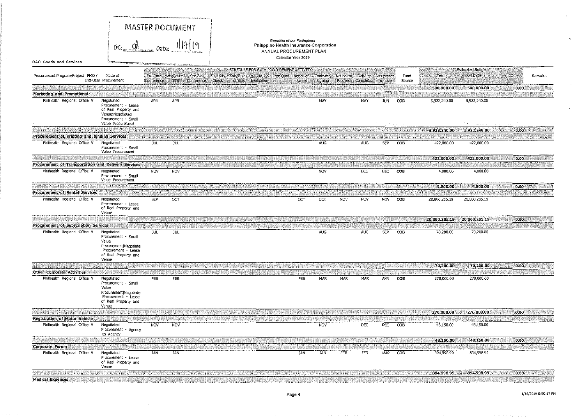|                                                     |                                                                                                                             |                                                                                                                       | <b>MASTER DOCUMENT</b>           |                                                                          |                                                                                                   |            |            |            |                               |                            |        |               |                                 |      |         |
|-----------------------------------------------------|-----------------------------------------------------------------------------------------------------------------------------|-----------------------------------------------------------------------------------------------------------------------|----------------------------------|--------------------------------------------------------------------------|---------------------------------------------------------------------------------------------------|------------|------------|------------|-------------------------------|----------------------------|--------|---------------|---------------------------------|------|---------|
|                                                     | $\overline{DC}$ :                                                                                                           |                                                                                                                       |                                  |                                                                          | Republic of the Philippines<br>Philippine Health Insurance Corporation<br>ANNUAL PROCUREMENT PLAN |            |            |            |                               |                            |        |               |                                 |      |         |
| <b>BAC Goods and Services</b>                       |                                                                                                                             | <b>Management of the constitution of the construction of the construction of the construction of the construction</b> |                                  |                                                                          | Calendar Year 2019                                                                                |            |            |            |                               |                            |        |               |                                 |      |         |
| Procurement Program/Project PMO /                   | Mode of                                                                                                                     |                                                                                                                       | Pre-Proc Ads/Post of Pre-Bid     | SCHEDULE FOR EACH PROCUREMENT ACTIVITY<br>Eligibility Sub/Open<br>: Elid | Post Qual Motice of Contract                                                                      |            |            |            | Notice to Delivery Acceptance |                            | Fund   | Total         | <b>Estimated Budget</b><br>NOOF | CO.  | Remarks |
|                                                     | End-User Procurement                                                                                                        | Conference                                                                                                            | $_{\rm{HE}}$<br>Conference Check | of Bids<br>Evaluation                                                    |                                                                                                   | Award.     | Signing    | Proceed    | Completion Turnover           |                            | Source |               |                                 |      |         |
|                                                     |                                                                                                                             |                                                                                                                       |                                  |                                                                          |                                                                                                   |            |            |            |                               |                            |        | 500,000.00    | 500,000.00                      | 0.00 |         |
| Marketing and Promotional                           |                                                                                                                             |                                                                                                                       |                                  |                                                                          |                                                                                                   |            |            |            |                               |                            |        |               |                                 |      |         |
| Philhealth Regional Office V                        | Negotiated<br>Procurement - Lease<br>of Real Property and<br>Venue Negotiated<br>Procurement - Small<br>Value Procurement   | <b>APR</b>                                                                                                            | APR                              |                                                                          | of the company of                                                                                 |            | MAY        |            | MAY                           | JUN<br>and the second of a | COB    | 3,922,240.00  | 3,922,240.00                    |      |         |
|                                                     |                                                                                                                             |                                                                                                                       |                                  |                                                                          |                                                                                                   |            |            |            |                               |                            |        | 3,922,240.00  | 3,922,240.00                    | 0.00 |         |
| Procurement of Printing and Binding Services        |                                                                                                                             |                                                                                                                       |                                  |                                                                          |                                                                                                   |            |            |            |                               |                            |        |               |                                 |      |         |
| Philhealth Regional Office V                        | Negotiated<br>Procurement - Small<br>Value Procurement                                                                      | JUL.                                                                                                                  | JUL                              |                                                                          |                                                                                                   |            | <b>AUG</b> |            | <b>AUG</b>                    | SEP                        | COB    | 422,000.00    | 422,000.00                      |      |         |
|                                                     |                                                                                                                             |                                                                                                                       |                                  |                                                                          |                                                                                                   |            |            |            |                               |                            |        | 422,000.00    | 422,000.00                      | 0,00 |         |
| Procurement of Transportation and Delivery Services |                                                                                                                             |                                                                                                                       |                                  |                                                                          |                                                                                                   |            |            |            |                               |                            |        |               |                                 |      |         |
| Philhealth Regional Office V                        | Negotiated<br>Procurement - Small<br>Value Procurement                                                                      | <b>NOV</b>                                                                                                            | NOV                              |                                                                          |                                                                                                   |            | NOV        |            | DEC                           | DEC.                       | COB    | 4,800.00      | 4,800.00                        |      |         |
|                                                     |                                                                                                                             |                                                                                                                       |                                  |                                                                          |                                                                                                   |            |            |            |                               |                            |        | 4.800.00      | 4,800.00                        | 0.00 |         |
| <b>Procurement of Rental Services</b>               |                                                                                                                             |                                                                                                                       |                                  |                                                                          |                                                                                                   |            |            |            |                               |                            |        |               |                                 |      |         |
| Philhealth Regional Office V                        | Negotiated<br>Procurement - Lease<br>of Real Property and<br>Venue                                                          | SEP                                                                                                                   | OСТ                              |                                                                          |                                                                                                   | OCT        | ост        | <b>NOV</b> | NOV                           | NOV                        | COB    | 20,800,285.19 | 20,800,285.19                   |      |         |
|                                                     |                                                                                                                             |                                                                                                                       |                                  |                                                                          |                                                                                                   |            |            |            |                               |                            |        | 20,800,285,19 | 20,800,285.19                   | 0.00 |         |
| <b>Procurement of Subscription Services</b>         |                                                                                                                             |                                                                                                                       |                                  |                                                                          |                                                                                                   |            |            |            |                               |                            |        |               |                                 |      |         |
| Philhealth Regional Office V                        | Negotiated<br>Procurement - Small<br>Value<br>Procurement Negotiate<br>Procurement - Lease<br>of Real Property and<br>Venue | JUL.                                                                                                                  | JUL.                             |                                                                          |                                                                                                   |            | <b>AUG</b> |            | AUG                           | SEP                        | COB    | 70,200.00     | 70,200.00                       |      |         |
|                                                     |                                                                                                                             |                                                                                                                       |                                  |                                                                          |                                                                                                   |            |            |            |                               |                            |        | 70,200.00     | 70,200.00                       | 0.00 |         |
| <b>Other Corporate Activities</b>                   |                                                                                                                             |                                                                                                                       |                                  |                                                                          |                                                                                                   |            |            |            |                               |                            |        |               |                                 |      |         |
| Philhealth Regional Office V                        | Negotiated<br>Procurement · Small<br>Value                                                                                  | FEB                                                                                                                   | <b>FEB</b>                       |                                                                          |                                                                                                   | FEB        | MAR        | MAR        | MAR                           | APR.                       | COB    | 270,000.00    | 270,000.00                      |      |         |
|                                                     | Procurement Negotiate<br>Procurement - Lease<br>of Real Property and<br>Venue                                               |                                                                                                                       |                                  |                                                                          |                                                                                                   |            |            |            |                               |                            |        |               |                                 |      |         |
|                                                     |                                                                                                                             |                                                                                                                       |                                  |                                                                          |                                                                                                   |            |            |            |                               |                            |        | 270,000.00    | 270,000,00                      | 0.00 |         |
| <b>Registration of Motor Vehicle</b>                |                                                                                                                             |                                                                                                                       |                                  |                                                                          |                                                                                                   |            |            |            |                               |                            |        |               |                                 |      |         |
| Philhealth Regional Office V                        | Negotiated<br>Procurement - Agency<br>to Agency                                                                             | <b>NOV</b>                                                                                                            | <b>NOV</b>                       |                                                                          |                                                                                                   |            | NOV        |            | DEC                           | DEC                        | COB    | 48,150.00     | 48,150.00                       |      |         |
|                                                     |                                                                                                                             |                                                                                                                       |                                  |                                                                          |                                                                                                   |            |            |            |                               |                            |        | 48,150.00     | 48,150.00                       | 0.00 |         |
| Corporate Forum                                     |                                                                                                                             |                                                                                                                       |                                  |                                                                          |                                                                                                   |            |            |            |                               |                            |        |               |                                 |      |         |
| Philhealth Regional Office V                        | Negotiated<br>Procurement - Lease<br>of Real Property and<br>Venue                                                          | JAN.                                                                                                                  | <b>JAN</b>                       |                                                                          |                                                                                                   | <b>JAN</b> | JAN        | FEB        | FEB                           | MAR COB                    |        | 894,998.99    | 894,998.99                      |      |         |
|                                                     |                                                                                                                             |                                                                                                                       |                                  |                                                                          |                                                                                                   |            |            |            |                               |                            |        | 894,998.99    | 894,998.99                      | 0.00 |         |
| <b>Medical Expenses</b>                             |                                                                                                                             |                                                                                                                       |                                  |                                                                          |                                                                                                   |            |            |            |                               |                            |        |               |                                 |      |         |

 $\sim$ 

 $\mathbf{v}$ 

 $\langle \sigma \rangle$ 

 $\sim$ 

 $\ddot{\phantom{a}}$ 

 $\sim$   $\sim$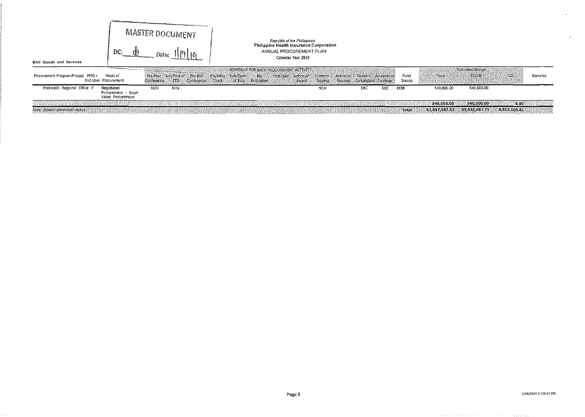|                                   |                                                                                                                                                                                                                                                                   |                                    | $\mu$ weight in the computation of the computation of the computation of the computation of the computation of the computation of the computation of the computation of the computation of the computation of the computation |                      |                                                                                                                                                |         |                                |     |                |               |                                 |              |         |
|-----------------------------------|-------------------------------------------------------------------------------------------------------------------------------------------------------------------------------------------------------------------------------------------------------------------|------------------------------------|-------------------------------------------------------------------------------------------------------------------------------------------------------------------------------------------------------------------------------|----------------------|------------------------------------------------------------------------------------------------------------------------------------------------|---------|--------------------------------|-----|----------------|---------------|---------------------------------|--------------|---------|
| BAC Goods and Services            | DC:                                                                                                                                                                                                                                                               | Date:                              | <b>MASTER DOCUMENT</b>                                                                                                                                                                                                        |                      | Republic of the Philippines<br>Philippine Health Insurance Corporation<br>ANNUAL PROCUREMENT PLAN<br>Calendar Year 2019                        |         |                                |     |                |               |                                 |              |         |
| Procurement Program/Project PMO / | and the company of the company of the company of the company of the company of the company of the company of the company of the company of the company of the company of the company of the company of the company of the comp<br>Mode of<br>End-User Procurement | Pre-Proc Ads/Post of<br>Conference | Pre-Bid<br>Conference Check<br>ா8                                                                                                                                                                                             | Eligibility Sub/Open | SCHEDULE FOR EACH PROCUREMENT ACTIVITY<br>Bid Post Qual Notice of Contract Notice to Delivery Acceptance<br>of Blds Evaluation<br><b>Award</b> | Signing | Completion Turnover<br>Proceed |     | Fund<br>Source | Total         | <b>Estimated Budget</b><br>MOOE | CO.          | Remarks |
| Philhealth Regional Office V      | Negotiated<br>Procurement Small<br>Value Procurement                                                                                                                                                                                                              | NOV                                | <b>NOV</b>                                                                                                                                                                                                                    |                      |                                                                                                                                                | NOV     | DEC                            | DEC | COB            | 540,000.00    | 540,000.00                      |              |         |
|                                   |                                                                                                                                                                                                                                                                   |                                    |                                                                                                                                                                                                                               |                      |                                                                                                                                                |         |                                |     |                | 540.000.00    | 540,000.00                      | 10.00        |         |
| Note: System generated report.    |                                                                                                                                                                                                                                                                   |                                    |                                                                                                                                                                                                                               |                      |                                                                                                                                                |         |                                |     | Total          | 62,057.587.52 | 55, 545, 481, 71                | 6,512,105.81 |         |

 $\omega$ 

 $\langle \sigma \rangle$ 

 $\sim 10^{-1}$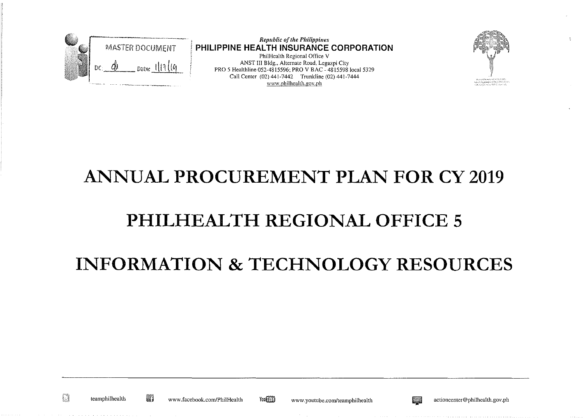

*Republic of the Philippines*  **PHILIPPINE HEALTH INSURANCE CORPORATION**  Phi!Hcalth Regional Office V ANST III Bldg., Alternate Road, Legazpi City PRO 5 Healthline 052-4815596; PRO V BAC - 4815598 local 5329 Call Center (02) 441-7442 Trunkline (02) 441-7444 www.philhealth.gov.ph



#### **ANNUAL PROCUREMENT PLAN FOR CY 2019**

#### **PHILHEALTH REGIONAL OFFICE 5**

## **INFORMATION & TECHNOLOGY RESOURCES**

D

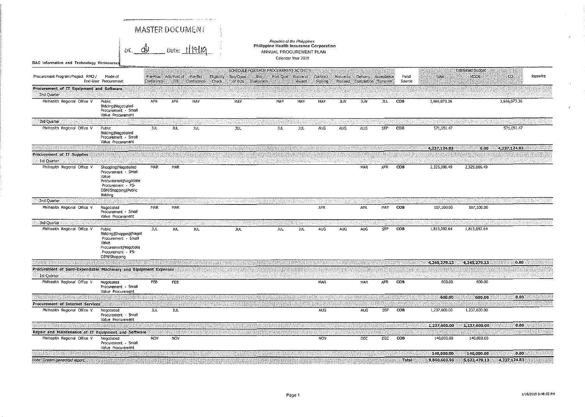|                                                                                |                                                                                                                                        |            | MASTER DOCUMENT                                |                                         |                                |                    |                                                                    |                                                   |            |            |                                                                      |            |                |                            |                            |                      |         |
|--------------------------------------------------------------------------------|----------------------------------------------------------------------------------------------------------------------------------------|------------|------------------------------------------------|-----------------------------------------|--------------------------------|--------------------|--------------------------------------------------------------------|---------------------------------------------------|------------|------------|----------------------------------------------------------------------|------------|----------------|----------------------------|----------------------------|----------------------|---------|
|                                                                                | $oc_{1}$ de                                                                                                                            |            |                                                | $_{\text{Date: } 1$ [19] $_{\text{10}}$ |                                |                    | Philippine Health Insurance Corporation<br>ANNUAL PROCUREMENT PLAN | Republic of the Philippines<br>Calendar Year 2019 |            |            |                                                                      |            |                |                            |                            |                      |         |
| BAC information and Technology Resoources                                      |                                                                                                                                        |            |                                                |                                         |                                |                    | SCHEDULE FOR EACH PROCUREMENT ACTIVITY                             |                                                   |            |            |                                                                      |            |                |                            | <b>Estimated Budget</b>    |                      |         |
| Procurement Program/Project PMO /                                              | Mode of<br>End-User Procurement                                                                                                        |            | Pre-Proc Ads/Post of Pre-Bid<br>Conference LTB | Conference Check                        | <b>Eligibility</b><br>Sub/Open | of Bids Evaluation | Bid.                                                               | Post Qual Notice of<br>Award                      | Signing    |            | Contract Notice to Delivery Acceptance<br>Proceed Completion Tumover |            | Fund<br>Source | Total                      | MOOE                       | co.                  | Remarks |
| Procurement of IT Equipment and Software<br>2nd Quarter                        |                                                                                                                                        |            |                                                |                                         |                                |                    |                                                                    |                                                   |            |            |                                                                      |            |                |                            |                            |                      |         |
| Philhealth Regional Office V                                                   | Public<br>Bidding   Negotiated<br>Procurement - Small<br>Value Procurement                                                             | <b>APR</b> | APR                                            | MAY                                     |                                | MAY                | <b>MAY</b>                                                         | MAY                                               | MAY        | <b>JUN</b> | <b>JUN</b>                                                           | JUL.       | <b>COB</b>     | 3,666,073.36               |                            | 3,666,073.36         |         |
| 3rd Quarter<br>Philhealth Regional Office V                                    | Public<br>Bidding (Negotiated<br>Procurement - Small<br>Value Procurement                                                              | JUL.       | JUL.                                           | <b>JUL</b>                              |                                | JUL.               | <b>JUL</b>                                                         | <b>JUL</b>                                        | AJG        | AUG        | AUG                                                                  | SEP        | COB            | 571.051.47                 |                            | 571,051.47           |         |
| Procurement of IT Supplies<br>1st Quarter                                      |                                                                                                                                        |            |                                                |                                         |                                |                    |                                                                    |                                                   |            |            |                                                                      |            |                | 4,237,124.83               | 0.00                       | 4,237.124.83         |         |
| Philhealth Regional Office V                                                   | Shopping   Negotiated<br>Procurement - Small<br>Value<br>Procurement Negotiate<br>Procurement - PS-<br>DBM/Shopping (Public<br>Bidding | MAR        | MAR                                            |                                         |                                |                    |                                                                    |                                                   |            |            | <b>MAR</b>                                                           | <b>APR</b> | COB            | 2,325,086.49               | 2,325,086.49               |                      |         |
| 2nd Quarter                                                                    |                                                                                                                                        |            |                                                |                                         |                                |                    |                                                                    |                                                   |            |            |                                                                      |            |                |                            |                            |                      |         |
| Philhealth Regional Office V                                                   | Negotiated<br>Procurement - Small<br>Value Procurement                                                                                 | MAR        | MAR                                            |                                         |                                |                    |                                                                    |                                                   | <b>APR</b> |            | <b>APR</b>                                                           | MAY        | COB            | 107.100.00                 | 107,100.00                 |                      |         |
| 3rd Quarter<br>Philhealth Regional Office V                                    | Public<br>Bidding   Shopping   Negot<br>Procurement - Small<br>Value<br>Procurement Negotiate<br>Procurement - PS-<br>DBM/Shopping     | JUL.       | <b>JUL</b>                                     | JUL                                     |                                | <b>JUL</b>         | <b>JUL</b>                                                         | <b>JUL</b>                                        | <b>AUG</b> | <b>AUG</b> | <b>AUG</b>                                                           | SEP        | COB            | 1,813,092.64               | 1,813,092.64               |                      |         |
|                                                                                |                                                                                                                                        |            |                                                |                                         |                                |                    |                                                                    |                                                   |            |            |                                                                      |            |                | 4,245,279.13               | 4.245,279.13               | 0.00                 |         |
| Procurement of Semi-Expendable Machinery and Equipment Expenses<br>1st Quarter |                                                                                                                                        |            |                                                |                                         |                                |                    |                                                                    |                                                   |            |            |                                                                      |            |                |                            |                            |                      |         |
| Philhealth Regional Office V                                                   | Negotiated<br>Procurement - Small<br>Value Procurement                                                                                 | FEB        | <b>FEB</b>                                     |                                         |                                |                    |                                                                    |                                                   | MAR        |            | MAR                                                                  | APR        | COB            | 600.00                     | 600.00                     |                      |         |
|                                                                                |                                                                                                                                        |            |                                                |                                         |                                |                    |                                                                    |                                                   |            |            |                                                                      |            |                | 600.00                     | 600.00                     | 0.00                 |         |
| Procurement of Internet Services<br>Philhealth Regional Office V               | Negotiated<br>Procurement - Small                                                                                                      | <b>JUL</b> | JUL.                                           |                                         |                                |                    |                                                                    |                                                   | AUG        |            | <b>AUG</b>                                                           | <b>SEP</b> | COB            | 1,237,600.00               | 1,237,600.00               |                      |         |
|                                                                                | Value Procurement                                                                                                                      |            |                                                |                                         |                                |                    |                                                                    |                                                   |            |            |                                                                      |            |                | 1,237,600.00               | 1,237,600.00               | 0.00                 |         |
| Repair and Maintenance of IT Equipment and Software                            |                                                                                                                                        |            |                                                |                                         |                                |                    |                                                                    |                                                   |            |            |                                                                      |            |                |                            |                            |                      |         |
| Philhealth Regional Office V                                                   | Negotiated<br>Procurement - Small<br>Value Procurement                                                                                 | <b>NOV</b> | <b>NOV</b>                                     |                                         |                                |                    |                                                                    |                                                   | <b>NOV</b> |            | <b>DEC</b>                                                           | <b>DEC</b> | COB            | 140,000.00                 | 140,000.00                 |                      |         |
| Note: System generated report:                                                 |                                                                                                                                        |            |                                                |                                         |                                |                    |                                                                    |                                                   |            |            |                                                                      |            | Total          | 140,000.00<br>9,860,603.96 | 140,000.00<br>5,623,479.13 | 0.00<br>4,237,124.83 |         |

 $\langle \cdot \rangle$ 

 $\sim$ 

 $\mathbf{p}$  .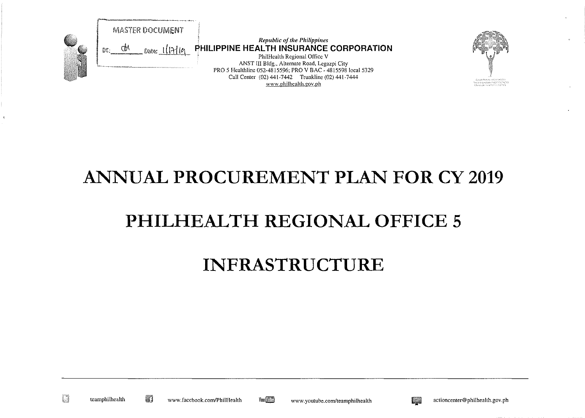

PhilHealth Regional Office V ANST III Bldg., Alternate Road, Legazpi City PRO 5 Healthline 052-4815596; PRO V BAC - 4815598 local 5329 Call Center (02} 441-7442 Trunkline (02} 441-7444 www.philhealth.gov.ph



#### ANNUAL PROCUREMENT PLAN FOR CY 2019

# PHILHEALTH REGIONAL OFFICE 5

#### INFRASTRUCTURE